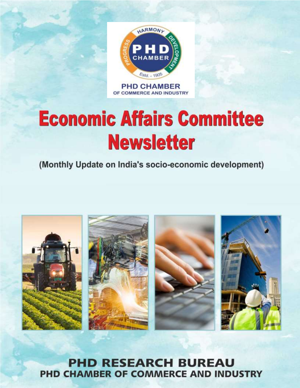

**PHD CHAMBER** OF COMMERCE AND INDUSTRY

# **Economic Affairs Committee Newsletter**

(Monthly Update on India's socio-economic development)



**PHD RESEARCH BUREAU** PHD CHAMBER OF COMMERCE AND INDUSTRY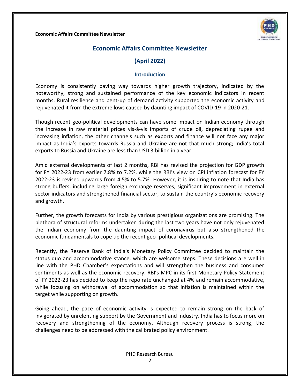

# **(April 2022)**

#### **Introduction**

Economy is consistently paving way towards higher growth trajectory, indicated by the noteworthy, strong and sustained performance of the key economic indicators in recent months. Rural resilience and pent-up of demand activity supported the economic activity and rejuvenated it from the extreme lows caused by daunting impact of COVID-19 in 2020-21.

Though recent geo-political developments can have some impact on Indian economy through the increase in raw material prices vis-à-vis imports of crude oil, depreciating rupee and increasing inflation, the other channels such as exports and finance will not face any major impact as India's exports towards Russia and Ukraine are not that much strong; India's total exports to Russia and Ukraine are less than USD 3 billion in a year.

Amid external developments of last 2 months, RBI has revised the projection for GDP growth for FY 2022-23 from earlier 7.8% to 7.2%, while the RBI's view on CPI inflation forecast for FY 2022-23 is revised upwards from 4.5% to 5.7%. However, it is inspiring to note that India has strong buffers, including large foreign exchange reserves, significant improvement in external sector indicators and strengthened financial sector, to sustain the country's economic recovery and growth.

Further, the growth forecasts for India by various prestigious organizations are promising. The plethora of structural reforms undertaken during the last two years have not only rejuvenated the Indian economy from the daunting impact of coronavirus but also strengthened the economic fundamentals to cope up the recent geo- political developments.

Recently, the Reserve Bank of India's Monetary Policy Committee decided to maintain the status quo and accommodative stance, which are welcome steps. These decisions are well in line with the PHD Chamber's expectations and will strengthen the business and consumer sentiments as well as the economic recovery. RBI's MPC in its first Monetary Policy Statement of FY 2022-23 has decided to keep the repo rate unchanged at 4% and remain accommodative, while focusing on withdrawal of accommodation so that inflation is maintained within the target while supporting on growth.

Going ahead, the pace of economic activity is expected to remain strong on the back of invigorated by unrelenting support by the Government and Industry. India has to focus more on recovery and strengthening of the economy. Although recovery process is strong, the challenges need to be addressed with the calibrated policy environment.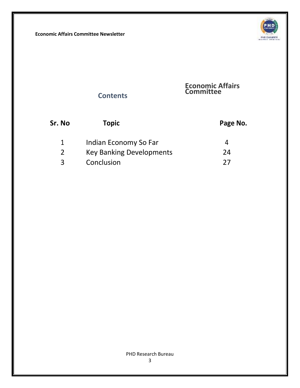

# **Contents**

#### **Economic Affairs Committee**

| Sr. No | Topic                           | Page No. |
|--------|---------------------------------|----------|
|        | Indian Economy So Far           | Д        |
| 2      | <b>Key Banking Developments</b> | 24       |
| ર      | Conclusion                      | つフ       |

#### PHD Research Bureau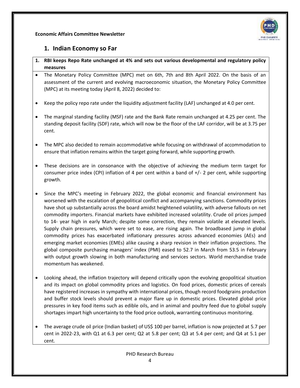

### **1. Indian Economy so Far**

- **1. RBI keeps Repo Rate unchanged at 4% and sets out various developmental and regulatory policy measures**
- The Monetary Policy Committee (MPC) met on 6th, 7th and 8th April 2022. On the basis of an assessment of the current and evolving macroeconomic situation, the Monetary Policy Committee (MPC) at its meeting today (April 8, 2022) decided to:
- Keep the policy repo rate under the liquidity adjustment facility (LAF) unchanged at 4.0 per cent.
- The marginal standing facility (MSF) rate and the Bank Rate remain unchanged at 4.25 per cent. The standing deposit facility (SDF) rate, which will now be the floor of the LAF corridor, will be at 3.75 per cent.
- The MPC also decided to remain accommodative while focusing on withdrawal of accommodation to ensure that inflation remains within the target going forward, while supporting growth.
- These decisions are in consonance with the objective of achieving the medium term target for consumer price index (CPI) inflation of 4 per cent within a band of  $+/-2$  per cent, while supporting growth.
- Since the MPC's meeting in February 2022, the global economic and financial environment has worsened with the escalation of geopolitical conflict and accompanying sanctions. Commodity prices have shot up substantially across the board amidst heightened volatility, with adverse fallouts on net commodity importers. Financial markets have exhibited increased volatility. Crude oil prices jumped to 14- year high in early March; despite some correction, they remain volatile at elevated levels. Supply chain pressures, which were set to ease, are rising again. The broadbased jump in global commodity prices has exacerbated inflationary pressures across advanced economies (AEs) and emerging market economies (EMEs) alike causing a sharp revision in their inflation projections. The global composite purchasing managers' index (PMI) eased to 52.7 in March from 53.5 in February with output growth slowing in both manufacturing and services sectors. World merchandise trade momentum has weakened.
- Looking ahead, the inflation trajectory will depend critically upon the evolving geopolitical situation and its impact on global commodity prices and logistics. On food prices, domestic prices of cereals have registered increases in sympathy with international prices, though record foodgrains production and buffer stock levels should prevent a major flare up in domestic prices. Elevated global price pressures in key food items such as edible oils, and in animal and poultry feed due to global supply shortages impart high uncertainty to the food price outlook, warranting continuous monitoring.
- The average crude oil price (Indian basket) of US\$ 100 per barrel, inflation is now projected at 5.7 per cent in 2022-23, with Q1 at 6.3 per cent; Q2 at 5.8 per cent; Q3 at 5.4 per cent; and Q4 at 5.1 per cent.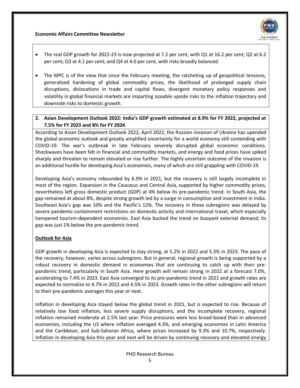

- The real GDP growth for 2022-23 is now projected at 7.2 per cent, with Q1 at 16.2 per cent; Q2 at 6.2 per cent; Q3 at 4.1 per cent; and Q4 at 4.0 per cent, with risks broadly balanced.
- The MPC is of the view that since the February meeting, the ratcheting up of geopolitical tensions, generalised hardening of global commodity prices, the likelihood of prolonged supply chain disruptions, dislocations in trade and capital flows, divergent monetary policy responses and volatility in global financial markets are imparting sizeable upside risks to the inflation trajectory and downside risks to domestic growth.

#### **2. Asian Development Outlook 2022: India's GDP growth estimated at 8.9% for FY 2022, projected at 7.5% for FY 2023 and 8% for FY 2024**

According to Asian Development Outlook 2022, April 2022, the Russian invasion of Ukraine has upended the global economic outlook and greatly amplified uncertainty for a world economy still contending with COVID-19. The war's outbreak in late February severely disrupted global economic conditions. Shockwaves have been felt in financial and commodity markets, and energy and food prices have spiked sharply and threaten to remain elevated or rise further. The highly uncertain outcome of the invasion is an additional hurdle for developing Asia's economies, many of which are still grappling with COVID-19.

Developing Asia's economy rebounded by 6.9% in 2021, but the recovery is still largely incomplete in most of the region. Expansion in the Caucasus and Central Asia, supported by higher commodity prices, nevertheless left gross domestic product (GDP) at 4% below its pre-pandemic trend. In South Asia, the gap remained at about 8%, despite strong growth led by a surge in consumption and investment in India. Southeast Asia's gap was 10% and the Pacific's 12%. The recovery in these subregions was delayed by severe pandemic-containment restrictions on domestic activity and international travel, which especially hampered tourism-dependent economies. East Asia bucked the trend on buoyant external demand; its gap was just 1% below the pre-pandemic trend.

#### **Outlook for Asia**

GDP growth in developing Asia is expected to stay strong, at 5.2% in 2022 and 5.3% in 2023. The pace of the recovery, however, varies across subregions. But in general, regional growth is being supported by a robust recovery in domestic demand in economies that are continuing to catch up with their prepandemic trend, particularly in South Asia. Here growth will remain strong in 2022 at a forecast 7.0%, accelerating to 7.4% in 2023. East Asia converged to its pre-pandemic trend in 2021 and growth rates are expected to normalize to 4.7% in 2022 and 4.5% in 2023. Growth rates in the other subregions will return to their pre-pandemic averages this year or next.

Inflation in developing Asia stayed below the global trend in 2021, but is expected to rise. Because of relatively low food inflation, less severe supply disruptions, and the incomplete recovery, regional inflation remained moderate at 2.5% last year. Price pressures were less broad-based than in advanced economies, including the US where inflation averaged 4.3%, and emerging economies in Latin America and the Caribbean, and Sub-Saharan Africa, where prices increased by 9.3% and 10.7%, respectively. Inflation in developing Asia this year and next will be driven by continuing recovery and elevated energy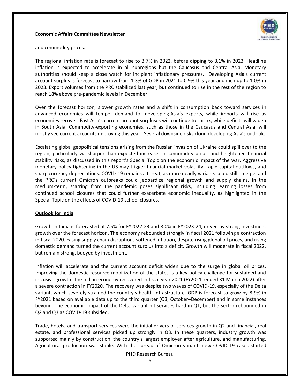

and commodity prices.

The regional inflation rate is forecast to rise to 3.7% in 2022, before dipping to 3.1% in 2023. Headline inflation is expected to accelerate in all subregions but the Caucasus and Central Asia. Monetary authorities should keep a close watch for incipient inflationary pressures. Developing Asia's current account surplus is forecast to narrow from 1.3% of GDP in 2021 to 0.9% this year and inch up to 1.0% in 2023. Export volumes from the PRC stabilized last year, but continued to rise in the rest of the region to reach 18% above pre-pandemic levels in December.

Over the forecast horizon, slower growth rates and a shift in consumption back toward services in advanced economies will temper demand for developing Asia's exports, while imports will rise as economies recover. East Asia's current account surpluses will continue to shrink, while deficits will widen in South Asia. Commodity-exporting economies, such as those in the Caucasus and Central Asia, will mostly see current accounts improving this year. Several downside risks cloud developing Asia's outlook.

Escalating global geopolitical tensions arising from the Russian invasion of Ukraine could spill over to the region, particularly via sharper-than-expected increases in commodity prices and heightened financial stability risks, as discussed in this report's Special Topic on the economic impact of the war. Aggressive monetary policy tightening in the US may trigger financial market volatility, rapid capital outflows, and sharp currency depreciations. COVID-19 remains a threat, as more deadly variants could still emerge, and the PRC's current Omicron outbreaks could jeopardize regional growth and supply chains. In the medium-term, scarring from the pandemic poses significant risks, including learning losses from continued school closures that could further exacerbate economic inequality, as highlighted in the Special Topic on the effects of COVID-19 school closures.

#### **Outlook for India**

Growth in India is forecasted at 7.5% for FY2022-23 and 8.0% in FY2023-24, driven by strong investment growth over the forecast horizon. The economy rebounded strongly in fiscal 2021 following a contraction in fiscal 2020. Easing supply chain disruptions softened inflation, despite rising global oil prices, and rising domestic demand turned the current account surplus into a deficit. Growth will moderate in fiscal 2022, but remain strong, buoyed by investment.

Inflation will accelerate and the current account deficit widen due to the surge in global oil prices. Improving the domestic resource mobilization of the states is a key policy challenge for sustained and inclusive growth. The Indian economy recovered in fiscal year 2021 (FY2021, ended 31 March 2022) after a severe contraction in FY2020. The recovery was despite two waves of COVID-19, especially of the Delta variant, which severely strained the country's health infrastructure. GDP is forecast to grow by 8.9% in FY2021 based on available data up to the third quarter (Q3, October–December) and in some instances beyond. The economic impact of the Delta variant hit services hard in Q1, but the sector rebounded in Q2 and Q3 as COVID-19 subsided.

Trade, hotels, and transport services were the initial drivers of services growth in Q2 and financial, real estate, and professional services picked up strongly in Q3. In these quarters, industry growth was supported mainly by construction, the country's largest employer after agriculture, and manufacturing. Agricultural production was stable. With the spread of Omicron variant, new COVID-19 cases started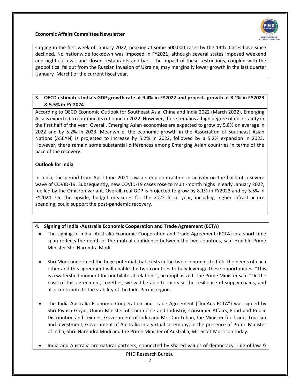

surging in the first week of January 2022, peaking at some 500,000 cases by the 14th. Cases have since declined. No nationwide lockdown was imposed in FY2021, although several states imposed weekend and night curfews, and closed restaurants and bars. The impact of these restrictions, coupled with the geopolitical fallout from the Russian invasion of Ukraine, may marginally lower growth in the last quarter (January–March) of the current fiscal year.

#### **3. OECD estimates India's GDP growth rate at 9.4% in FY2022 and projects growth at 8.1% in FY2023 & 5.5% in FY 2024**

According to OECD Economic Outlook for Southeast Asia, China and India 2022 (March 2022), Emerging Asia is expected to continue its rebound in 2022. However, there remains a high degree of uncertainty in the first half of the year. Overall, Emerging Asian economies are expected to grow by 5.8% on average in 2022 and by 5.2% in 2023. Meanwhile, the economic growth in the Association of Southeast Asian Nations (ASEAN) is projected to increase by 5.2% in 2022, followed by a 5.2% expansion in 2023. However, there remain some substantial differences among Emerging Asian countries in terms of the pace of the recovery.

#### **Outlook for India**

In India, the period from April-June 2021 saw a steep contraction in activity on the back of a severe wave of COVID-19. Subsequently, new COVID-19 cases rose to multi-month highs in early January 2022, fuelled by the Omicron variant. Overall, real GDP is projected to grow by 8.1% in FY2023 and by 5.5% in FY2024. On the upside, budget measures for the 2022 fiscal year, including higher infrastructure spending, could support the post-pandemic recovery.

#### **4. Signing of India -Australia Economic Cooperation and Trade Agreement (ECTA)**

- The signing of India -Australia Economic Cooperation and Trade Agreement (ECTA) in a short time span reflects the depth of the mutual confidence between the two countries, said Hon'ble Prime Minister Shri Narendra Modi.
- Shri Modi underlined the huge potential that exists in the two economies to fulfil the needs of each other and this agreement will enable the two countries to fully leverage these opportunities. "This is a watershed moment for our bilateral relations", he emphasized. The Prime Minister said "On the basis of this agreement, together, we will be able to increase the resilience of supply chains, and also contribute to the stability of the Indo-Pacific region.
- The India-Australia Economic Cooperation and Trade Agreement ("IndAus ECTA") was signed by Shri Piyush Goyal, Union Minister of Commerce and Industry, Consumer Affairs, Food and Public Distribution and Textiles, Government of India and Mr. Dan Tehan, the Minister for Trade, Tourism and Investment, Government of Australia in a virtual ceremony, in the presence of Prime Minister of India, Shri. Narendra Modi and the Prime Minister of Australia, Mr. Scott Morrison today.
- India and Australia are natural partners, connected by shared values of democracy, rule of law &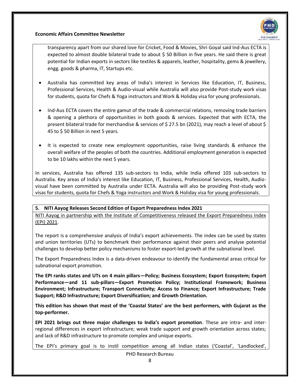

transparency apart from our shared love for Cricket, Food & Movies, Shri Goyal said Ind-Aus ECTA is expected to almost double bilateral trade to about \$ 50 Billion in five years. He said there is great potential for Indian exports in sectors like textiles & apparels, leather, hospitality, gems & jewellery, engg. goods & pharma, IT, Startups etc.

- Australia has committed key areas of India's interest in Services like Education, IT, Business, Professional Services, Health & Audio-visual while Australia will also provide Post-study work visas for students, quota for Chefs & Yoga instructors and Work & Holiday visa for young professionals.
- Ind-Aus ECTA covers the entire gamut of the trade & commercial relations, removing trade barriers & opening a plethora of opportunities in both goods & services. Expected that with ECTA, the present bilateral trade for merchandise & services of \$ 27.5 bn (2021), may reach a level of about \$ 45 to \$ 50 Billion in next 5 years.
- It is expected to create new employment opportunities, raise living standards & enhance the overall welfare of the peoples of both the countries. Additional employment generation is expected to be 10 lakhs within the next 5 years.

In services, Australia has offered 135 sub-sectors to India, while India offered 103 sub-sectors to Australia. Key areas of India's interest like Education, IT, Business, Professional Services, Health, Audiovisual have been committed by Australia under ECTA. Australia will also be providing Post-study work visas for students, quota for Chefs & Yoga instructors and Work & Holiday visa for young professionals.

#### **5. NITI Aayog Releases Second Edition of Export Preparedness Index 2021**

NITI Aayog in partnership with the Institute of Competitiveness released the Export Preparedness Index (EPI) 2021.

The report is a comprehensive analysis of India's export achievements. The index can be used by states and union territories (UTs) to benchmark their performance against their peers and analyse potential challenges to develop better policy mechanisms to foster export-led growth at the subnational level.

The Export Preparedness Index is a data-driven endeavour to identify the fundamental areas critical for subnational export promotion.

**The EPI ranks states and UTs on 4 main pillars—Policy; Business Ecosystem; Export Ecosystem; Export Performance—and 11 sub-pillars—Export Promotion Policy; Institutional Framework; Business Environment; Infrastructure; Transport Connectivity; Access to Finance; Export Infrastructure; Trade Support; R&D Infrastructure; Export Diversification; and Growth Orientation.**

**This edition has shown that most of the 'Coastal States' are the best performers, with Gujarat as the top-performer.**

**EPI 2021 brings out three major challenges to India's export promotion**. These are intra- and interregional differences in export infrastructure; weak trade support and growth orientation across states; and lack of R&D infrastructure to promote complex and unique exports.

The EPI's primary goal is to instil competition among all Indian states ('Coastal', 'Landlocked',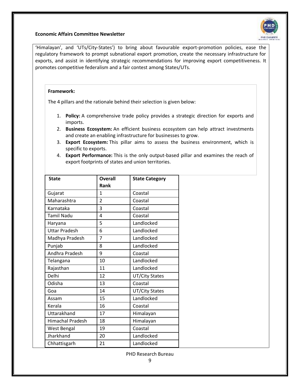'Himalayan', and 'UTs/City-States') to bring about favourable export-promotion policies, ease the regulatory framework to prompt subnational export promotion, create the necessary infrastructure for exports, and assist in identifying strategic recommendations for improving export competitiveness. It promotes competitive federalism and a fair contest among States/UTs.

#### **Framework:**

The 4 pillars and the rationale behind their selection is given below:

- 1. **Policy:** A comprehensive trade policy provides a strategic direction for exports and imports.
- 2. **Business Ecosystem:** An efficient business ecosystem can help attract investments and create an enabling infrastructure for businesses to grow.
- 3. **Export Ecosystem:** This pillar aims to assess the business environment, which is specific to exports.
- 4. **Export Performance:** This is the only output-based pillar and examines the reach of export footprints of states and union territories.

| <b>State</b>      | Overall        | <b>State Category</b> |
|-------------------|----------------|-----------------------|
|                   | Rank           |                       |
| Gujarat           | 1              | Coastal               |
| Maharashtra       | $\overline{2}$ | Coastal               |
| Karnataka         | 3              | Coastal               |
| <b>Tamil Nadu</b> | 4              | Coastal               |
| Haryana           | 5              | Landlocked            |
| Uttar Pradesh     | 6              | Landlocked            |
| Madhya Pradesh    | 7              | Landlocked            |
| Punjab            | 8              | Landlocked            |
| Andhra Pradesh    | 9              | Coastal               |
| Telangana         | 10             | Landlocked            |
| Rajasthan         | 11             | Landlocked            |
| Delhi             | 12             | UT/City States        |
| Odisha            | 13             | Coastal               |
| Goa               | 14             | UT/City States        |
| Assam             | 15             | Landlocked            |
| Kerala            | 16             | Coastal               |
| Uttarakhand       | 17             | Himalayan             |
| Himachal Pradesh  | 18             | Himalayan             |
| West Bengal       | 19             | Coastal               |
| Jharkhand         | 20             | Landlocked            |
| Chhattisgarh      | 21             | Landlocked            |

PHD Research Bureau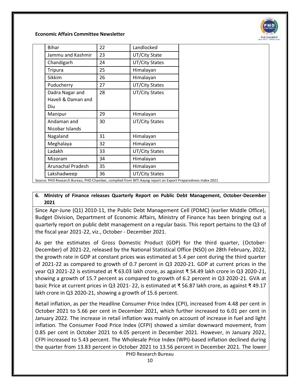

| <b>Bihar</b>                                                                                                | 22 | Landlocked     |
|-------------------------------------------------------------------------------------------------------------|----|----------------|
| Jammu and Kashmir                                                                                           | 23 | UT/City State  |
| Chandigarh                                                                                                  | 24 | UT/City States |
| <b>Tripura</b>                                                                                              | 25 | Himalayan      |
| <b>Sikkim</b>                                                                                               | 26 | Himalayan      |
| Puducherry                                                                                                  | 27 | UT/City States |
| Dadra Nagar and                                                                                             | 28 | UT/City States |
| Haveli & Daman and                                                                                          |    |                |
| Diu                                                                                                         |    |                |
| Manipur                                                                                                     | 29 | Himalayan      |
| Andaman and                                                                                                 | 30 | UT/City States |
| Nicobar Islands                                                                                             |    |                |
| Nagaland                                                                                                    | 31 | Himalayan      |
| Meghalaya                                                                                                   | 32 | Himalayan      |
| Ladakh                                                                                                      | 33 | UT/City States |
| Mizoram                                                                                                     | 34 | Himalayan      |
| Arunachal Pradesh                                                                                           | 35 | Himalayan      |
| Lakshadweep                                                                                                 | 36 | UT/City States |
| Source: PHD Research Bureau, PHD Chamber, compiled from NITI Aayog report on Export Preparedness Index 2021 |    |                |

#### **6. Ministry of Finance releases Quarterly Report on Public Debt Management, October-December 2021**

Since Apr-June (Q1) 2010-11, the Public Debt Management Cell (PDMC) (earlier Middle Office), Budget Division, Department of Economic Affairs, Ministry of Finance has been bringing out a quarterly report on public debt management on a regular basis. This report pertains to the Q3 of the fiscal year 2021-22, viz., October - December 2021.

As per the estimates of Gross Domestic Product (GDP) for the third quarter, (October-December) of 2021-22, released by the National Statistical Office (NSO) on 28th February, 2022, the growth rate in GDP at constant prices was estimated at 5.4 per cent during the third quarter of 2021-22 as compared to growth of 0.7 percent in Q3 2020-21. GDP at current prices in the year Q3 2021-22 is estimated at ₹ 63.03 lakh crore, as against ₹ 54.49 lakh crore in Q3 2020-21, showing a growth of 15.7 percent as compared to growth of 6.2 percent in Q3 2020-21. GVA at basic Price at current prices in Q3 2021- 22, is estimated at ₹ 56.87 lakh crore, as against ₹ 49.17 lakh crore in Q3 2020-21, showing a growth of 15.6 percent.

Retail inflation, as per the Headline Consumer Price Index (CPI), increased from 4.48 per cent in October 2021 to 5.66 per cent in December 2021, which further increased to 6.01 per cent in January 2022. The increase in retail inflation was mainly on account of increase in fuel and light inflation. The Consumer Food Price Index (CFPI) showed a similar downward movement, from 0.85 per cent in October 2021 to 4.05 percent in December 2021. However, in January 2022, CFPI increased to 5.43 percent. The Wholesale Price Index (WPI)-based inflation declined during the quarter from 13.83 percent in October 2021 to 13.56 percent in December 2021. The lower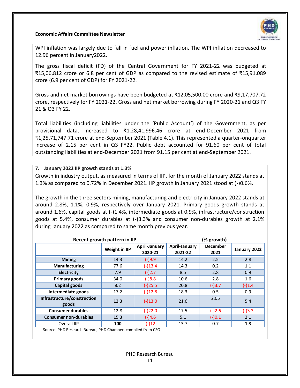

WPI inflation was largely due to fall in fuel and power inflation. The WPI inflation decreased to 12.96 percent in January2022.

The gross fiscal deficit (FD) of the Central Government for FY 2021-22 was budgeted at ₹15,06,812 crore or 6.8 per cent of GDP as compared to the revised estimate of ₹15,91,089 crore (6.9 per cent of GDP) for FY 2021-22.

Gross and net market borrowings have been budgeted at ₹12,05,500.00 crore and ₹9,17,707.72 crore, respectively for FY 2021-22. Gross and net market borrowing during FY 2020-21 and Q3 FY 21 & Q3 FY 22.

Total liabilities (including liabilities under the 'Public Account') of the Government, as per provisional data, increased to ₹1,28,41,996.46 crore at end-December 2021 from ₹1,25,71,747.71 crore at end-September 2021 (Table 4.1). This represented a quarter-onquarter increase of 2.15 per cent in Q3 FY22. Public debt accounted for 91.60 per cent of total outstanding liabilities at end-December 2021 from 91.15 per cent at end-September 2021.

**7. January 2022 IIP growth stands at 1.3%**

Growth in industry output, as measured in terms of IIP, for the month of January 2022 stands at 1.3% as compared to 0.72% in December 2021. IIP growth in January 2021 stood at (-)0.6%.

The growth in the three sectors mining, manufacturing and electricity in January 2022 stands at around 2.8%, 1.1%, 0.9%, respectively over January 2021. Primary goods growth stands at around 1.6%, capital goods at (-)1.4%, intermediate goods at 0.9%, infrastructure/construction goods at 5.4%, consumer durables at (-)3.3% and consumer non-durables growth at 2.1% during January 2022 as compared to same month previous year.

|                                                             | Recent growth pattern in IIP |                                 |                                 | (% growth)              |              |
|-------------------------------------------------------------|------------------------------|---------------------------------|---------------------------------|-------------------------|--------------|
|                                                             | Weight in IIP                | <b>April-January</b><br>2020-21 | <b>April-January</b><br>2021-22 | <b>December</b><br>2021 | January 2022 |
| <b>Mining</b>                                               | 14.3                         | $(-)9.9$                        | 14.2                            | 2.5                     | 2.8          |
| Manufacturing                                               | 77.6                         | $(-)13.4$                       | 14.3                            | 0.2                     | 1.1          |
| <b>Electricity</b>                                          | 7.9                          | $(-)2.7$                        | 8.5                             | 2.8                     | 0.9          |
| Primary goods                                               | 34.0                         | $(-)8.8$                        | 10.6                            | 2.8                     | 1.6          |
| Capital goods                                               | 8.2                          | $(-)25.5$                       | 20.8                            | $(-)3.7$                | $(-)1.4$     |
| Intermediate goods                                          | 17.2                         | $(-)12.8$                       | 18.3                            | 0.5                     | 0.9          |
| Infrastructure/construction<br>goods                        | 12.3                         | $(-)13.0$                       | 21.6                            | 2.05                    | 5.4          |
| <b>Consumer durables</b>                                    | 12.8                         | $(-)22.0$                       | 17.5                            | $(-)2.6$                | $(-)3.3$     |
| <b>Consumer non-durables</b>                                | 15.3                         | $(-)4.6$                        | 5.1                             | $(-)0.1$                | 2.1          |
| Overall IIP                                                 | 100                          | $(-)12$                         | 13.7                            | 0.7                     | 1.3          |
| Source: PHD Research Bureau, PHD Chamber, compiled from CSO |                              |                                 |                                 |                         |              |

PHD Research Bureau 11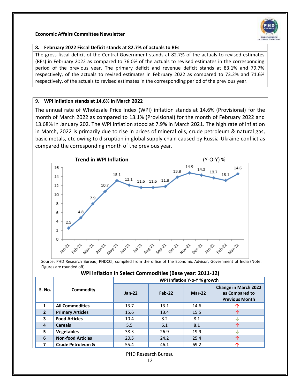

#### **8. February 2022 Fiscal Deficit stands at 82.7% of actuals to REs**

The gross fiscal deficit of the Central Government stands at 82.7% of the actuals to revised estimates (REs) in February 2022 as compared to 76.0% of the actuals to revised estimates in the corresponding period of the previous year. The primary deficit and revenue deficit stands at 83.1% and 79.7% respectively, of the actuals to revised estimates in February 2022 as compared to 73.2% and 71.6% respectively, of the actuals to revised estimates in the corresponding period of the previous year.

#### **9. WPI inflation stands at 14.6% in March 2022**

The annual rate of Wholesale Price Index (WPI) inflation stands at 14.6% (Provisional) for the month of March 2022 as compared to 13.1% (Provisional) for the month of February 2022 and 13.68% in January 202. The WPI inflation stood at 7.9% in March 2021. The high rate of inflation in March, 2022 is primarily due to rise in prices of mineral oils, crude petroleum & natural gas, basic metals, etc owing to disruption in global supply chain caused by Russia-Ukraine conflict as compared the corresponding month of the previous year.



Source: PHD Research Bureau, PHDCCI, compiled from the office of the Economic Advisor, Government of India (Note: Figures are rounded off)

| WPI inflation in Select Commodities (Base year: 2011-12) |  |
|----------------------------------------------------------|--|
|----------------------------------------------------------|--|

|                |                              | WPI Inflation Y-o-Y % growth |          |          |                                                                        |  |  |  |  |  |  |
|----------------|------------------------------|------------------------------|----------|----------|------------------------------------------------------------------------|--|--|--|--|--|--|
| S. No.         | Commodity                    | $Jan-22$                     | $Feb-22$ | $Mar-22$ | <b>Change in March 2022</b><br>as Compared to<br><b>Previous Month</b> |  |  |  |  |  |  |
| 1              | <b>All Commodities</b>       | 13.7                         | 13.1     | 14.6     |                                                                        |  |  |  |  |  |  |
| $\overline{2}$ | <b>Primary Articles</b>      | 15.6                         | 13.4     | 15.5     |                                                                        |  |  |  |  |  |  |
| 3              | <b>Food Articles</b>         | 10.4                         | 8.2      | 8.1      | ۰l۰                                                                    |  |  |  |  |  |  |
| $\overline{4}$ | <b>Cereals</b>               | 5.5                          | 6.1      | 8.1      | 灬                                                                      |  |  |  |  |  |  |
| 5.             | <b>Vegetables</b>            | 38.3                         | 26.9     | 19.9     | ۰l۰                                                                    |  |  |  |  |  |  |
| 6              | <b>Non-food Articles</b>     | 20.5                         | 24.2     | 25.4     |                                                                        |  |  |  |  |  |  |
|                | <b>Crude Petroleum &amp;</b> | 55.4                         | 46.1     | 69.2     |                                                                        |  |  |  |  |  |  |

PHD Research Bureau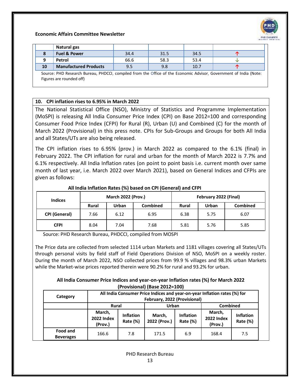

|    | Natural gas                                                                                                     |      |      |      |   |
|----|-----------------------------------------------------------------------------------------------------------------|------|------|------|---|
|    | <b>Fuel &amp; Power</b>                                                                                         | 34.4 | 31.5 | 34.5 |   |
|    | Petrol                                                                                                          | 66.6 | 58.3 | 53.4 | w |
| 10 | <b>Manufactured Products</b>                                                                                    | 9.5  | 9.8  | 10.7 |   |
|    | Course DUD Recorred Duroau, DUDCCL compiled from the Office of the Economic Advisor, Covernment of India (Noter |      |      |      |   |

Source: PHD Research Bureau, PHDCCI, compiled from the Office of the Economic Advisor, Government of India (Note: Figures are rounded off)

#### **10. CPI inflation rises to 6.95% in March 2022**

The National Statistical Office (NSO), Ministry of Statistics and Programme Implementation (MoSPI) is releasing All India Consumer Price Index (CPI) on Base 2012=100 and corresponding Consumer Food Price Index (CFPI) for Rural (R), Urban (U) and Combined (C) for the month of March 2022 (Provisional) in this press note. CPIs for Sub-Groups and Groups for both All India and all States/UTs are also being released.

The CPI inflation rises to 6.95% (prov.) in March 2022 as compared to the 6.1% (final) in February 2022. The CPI inflation for rural and urban for the month of March 2022 is 7.7% and 6.1% respectively. All India Inflation rates (on point to point basis i.e. current month over same month of last year, i.e. March 2022 over March 2021), based on General Indices and CFPIs are given as follows:

| <b>Indices</b>       |              | <b>March 2022 (Prov.)</b> |                 |              | February 2022 (Final) |                 |  |
|----------------------|--------------|---------------------------|-----------------|--------------|-----------------------|-----------------|--|
|                      | Rural        | Urban                     | <b>Combined</b> | <b>Rural</b> | Urban                 | <b>Combined</b> |  |
| <b>CPI (General)</b> | 7.66<br>6.12 |                           | 6.95            | 6.38         | 5.75                  | 6.07            |  |
| <b>CFPI</b>          | 8.04         | 7.04                      | 7.68            | 5.81         | 5.76                  | 5.85            |  |

#### **All India Inflation Rates (%) based on CPI (General) and CFPI**

Source: PHD Research Bureau, PHDCCI, compiled from MOSPI

The Price data are collected from selected 1114 urban Markets and 1181 villages covering all States/UTs through personal visits by field staff of Field Operations Division of NSO, MoSPI on a weekly roster. During the month of March 2022, NSO collected prices from 99.9 % villages and 98.3% urban Markets while the Market-wise prices reported therein were 90.2% for rural and 93.2% for urban.

#### **All India Consumer Price Indices and year-on-year Inflation rates (%) for March 2022 (Provisional) (Base 2012=100)**

| Category                            |                                        | All India Consumer Price Indices and year-on-year Inflation rates (%) for<br>February, 2022 (Provisional) |                        |                              |                                        |                              |  |  |  |  |  |
|-------------------------------------|----------------------------------------|-----------------------------------------------------------------------------------------------------------|------------------------|------------------------------|----------------------------------------|------------------------------|--|--|--|--|--|
|                                     | <b>Rural</b>                           |                                                                                                           | Urban                  |                              | <b>Combined</b>                        |                              |  |  |  |  |  |
|                                     | March,<br><b>2022 Index</b><br>(Prov.) | <b>Inflation</b><br>Rate (%)                                                                              | March,<br>2022 (Prov.) | <b>Inflation</b><br>Rate (%) | March,<br><b>2022 Index</b><br>(Prov.) | <b>Inflation</b><br>Rate (%) |  |  |  |  |  |
| <b>Food and</b><br><b>Beverages</b> | 166.6                                  | 7.8                                                                                                       | 171.5                  | 6.9                          | 168.4                                  | 7.5                          |  |  |  |  |  |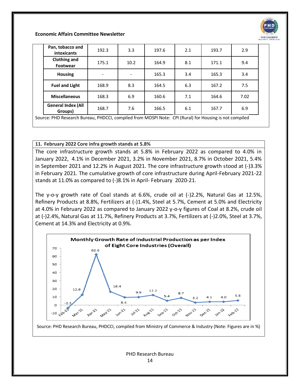

| Pan, tobacco and<br>intoxicants      | 192.3          | 3.3                             | 197.6                | 2.1 | 193.7 | 2.9  |
|--------------------------------------|----------------|---------------------------------|----------------------|-----|-------|------|
| <b>Clothing and</b><br>Footwear      | 175.1          | 10.2                            | 164.9                | 8.1 | 171.1 | 9.4  |
| <b>Housing</b>                       |                |                                 | 165.3                | 3.4 | 165.3 | 3.4  |
| <b>Fuel and Light</b>                | 168.9          | 8.3                             | 164.5                | 6.3 | 167.2 | 7.5  |
| <b>Miscellaneous</b>                 | 168.3          | 6.9                             | 160.6                | 7.1 | 164.6 | 7.02 |
| <b>General Index (All</b><br>Groups) | 168.7          | 7.6                             | 166.5                | 6.1 | 167.7 | 6.9  |
| <b><u><u><u></u></u></u></b>         | <b>PUP 881</b> | $\cdot$ $\cdot$ $\cdot$ $\cdot$ | $\ddot{\phantom{a}}$ |     |       |      |

Source: PHD Research Bureau, PHDCCI, compiled from MOSPI Note: CPI (Rural) for Housing is not compiled

#### **11. February 2022 Core infra growth stands at 5.8%**

The core infrastructure growth stands at 5.8% in February 2022 as compared to 4.0% in January 2022, 4.1% in December 2021, 3.2% in November 2021, 8.7% in October 2021, 5.4% in September 2021 and 12.2% in August 2021. The core infrastructure growth stood at (-)3.3% in February 2021. The cumulative growth of core infrastructure during April-February 2021-22 stands at 11.0% as compared to (-)8.1% in April- February 2020-21.

The y-o-y growth rate of Coal stands at 6.6%, crude oil at (-)2.2%, Natural Gas at 12.5%, Refinery Products at 8.8%, Fertilizers at (-)1.4%, Steel at 5.7%, Cement at 5.0% and Electricity at 4.0% in February 2022 as compared to January 2022 y-o-y figures of Coal at 8.2%, crude oil at (-)2.4%, Natural Gas at 11.7%, Refinery Products at 3.7%, Fertilizers at (-)2.0%, Steel at 3.7%, Cement at 14.3% and Electricity at 0.9%.



Source: PHD Research Bureau, PHDCCI, compiled from Ministry of Commerce & Industry (Note: Figures are in %)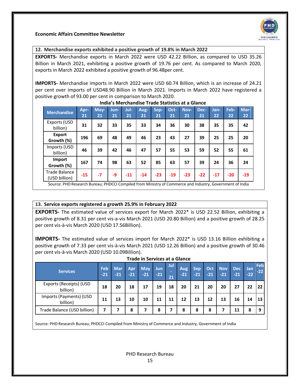

#### **12. Merchandise exports exhibited a positive growth of 19.8% in March 2022**

**EXPORTS-** Merchandise exports in March 2022 were USD 42.22 Billion, as compared to USD 35.26 Billion in March 2021, exhibiting a positive growth of 19.76 per cent. As compared to March 2020, exports in March 2022 exhibited a positive growth of 96.48per cent.

**IMPORTS-** Merchandise imports in March 2022 were USD 60.74 Billion, which is an increase of 24.21 per cent over imports of USD48.90 Billion in March 2021. Imports in March 2022 have registered a positive growth of 93.00 per cent in comparison to March 2020.

| Apr-<br>21 | May-<br>21 | Jun-<br>21 | Jul-<br>21 | Aug-<br>21 | Sep-<br>21 | Oct-<br>21 | Nov-<br>21 | Dec-<br>21 | Jan-<br>22 | Feb-<br>22 | Mar-<br>22 |
|------------|------------|------------|------------|------------|------------|------------|------------|------------|------------|------------|------------|
| 31         | 32         | 33         | 35         | 33         | 34         | 36         | 30         | 38         | 35         | 35         | 42         |
| 196        | 69         | 48         | 49         | 46         | 23         | 43         | 27         | 39         | 25         | 25         | 20         |
| 46         | 39         | 42         | 46         | 47         | 57         | 55         | 53         | 59         | 52         | 55         | 61         |
| 167        | 74         | 98         | 63         | 52         | 85         | 63         | 57         | 39         | 24         | 36         | 24         |
| $-15$      | $-7$       | -9         | $-11$      | $-14$      | $-23$      | $-19$      | $-23$      | $-22$      | $-17$      | $-20$      | $-19$      |
|            |            |            |            |            |            |            |            |            |            |            |            |

#### **India's Merchandise Trade Statistics at a Glance**

#### **13. Service exports registered a growth 25.9% in February 2022**

**EXPORTS-** The estimated value of services export for March 2022\* is USD 22.52 Billion, exhibiting a positive growth of 8.31 per cent vis-a-vis March 2021 (USD 20.80 Billion) and a positive growth of 28.25 per cent vis-à-vis March 2020 (USD 17.56Billion).

**IMPORTS-** The estimated value of services import for March 2022\* is USD 13.16 Billion exhibiting a positive growth of 7.33 per cent vis-à-vis March 2021 (USD 12.26 Billion) and a positive growth of 30.46 per cent vis-à-vis March 2020 (USD 10.09Billion).

**Trade in Services at a Glance**

| i i aue ili sei vices at a Giarice  |              |                     |                     |                     |              |                |              |               |              |                     |                     |                     |              |
|-------------------------------------|--------------|---------------------|---------------------|---------------------|--------------|----------------|--------------|---------------|--------------|---------------------|---------------------|---------------------|--------------|
| <b>Services</b>                     | Feb<br>$-21$ | <b>Mar</b><br>$-21$ | <b>Apr</b><br>$-21$ | <b>May</b><br>$-21$ | Jun<br>$-21$ | Jul<br>-<br>21 | Aug<br>$-21$ | Sep.<br>$-21$ | Oct<br>$-21$ | <b>Nov</b><br>$-21$ | <b>Dec</b><br>$-21$ | <b>Jan</b><br>$-22$ | Feb<br>$-22$ |
| Exports (Receipts) (USD<br>billion) | 18           | 20                  | 18                  | 17                  | 19           | 18             | 20           | 21            | 20           | 20                  | 27                  | 22                  | 22           |
| Imports (Payments) (USD<br>billion) | 11           | 13                  | 10                  | 10                  | 11           | 11             | 12           | 13            | 12           | 13                  | 16                  | 14                  | 13           |
| Trade Balance (USD billion)         | 7            |                     | 8                   | 7                   | 8            | 7              | 8            | 8             | 8            |                     | 11                  | 8                   | 9            |

Source: PHD Research Bureau; PHDCCI Compiled from Ministry of Commerce and Industry, Government of India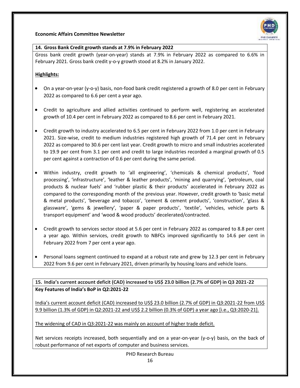

#### **14. Gross Bank Credit growth stands at 7.9% in February 2022**

Gross bank credit growth (year-on-year) stands at 7.9% in February 2022 as compared to 6.6% in February 2021. Gross bank credit y-o-y growth stood at 8.2% in January 2022.

#### **Highlights:**

- On a year-on-year (y-o-y) basis, non-food bank credit registered a growth of 8.0 per cent in February 2022 as compared to 6.6 per cent a year ago.
- Credit to agriculture and allied activities continued to perform well, registering an accelerated growth of 10.4 per cent in February 2022 as compared to 8.6 per cent in February 2021.
- Credit growth to industry accelerated to 6.5 per cent in February 2022 from 1.0 per cent in February 2021. Size-wise, credit to medium industries registered high growth of 71.4 per cent in February 2022 as compared to 30.6 per cent last year. Credit growth to micro and small industries accelerated to 19.9 per cent from 3.1 per cent and credit to large industries recorded a marginal growth of 0.5 per cent against a contraction of 0.6 per cent during the same period.
- Within industry, credit growth to 'all engineering', 'chemicals & chemical products', 'food processing', 'infrastructure', 'leather & leather products', 'mining and quarrying', 'petroleum, coal products & nuclear fuels' and 'rubber plastic & their products' accelerated in February 2022 as compared to the corresponding month of the previous year. However, credit growth to 'basic metal & metal products', 'beverage and tobacco', 'cement & cement products', 'construction', 'glass & glassware', 'gems & jewellery', 'paper & paper products', 'textile', 'vehicles, vehicle parts & transport equipment' and 'wood & wood products' decelerated/contracted.
- Credit growth to services sector stood at 5.6 per cent in February 2022 as compared to 8.8 per cent a year ago. Within services, credit growth to NBFCs improved significantly to 14.6 per cent in February 2022 from 7 per cent a year ago.
- Personal loans segment continued to expand at a robust rate and grew by 12.3 per cent in February 2022 from 9.6 per cent in February 2021, driven primarily by housing loans and vehicle loans.

**15. India's current account deficit (CAD) increased to US\$ 23.0 billion (2.7% of GDP) in Q3 2021-22 Key Features of India's BoP in Q2:2021-22**

 India's current account deficit (CAD) increased to US\$ 23.0 billion (2.7% of GDP) in Q3:2021-22 from US\$ 9.9 billion (1.3% of GDP) in Q2:2021-22 and US\$ 2.2 billion (0.3% of GDP) a year ago [i.e., Q3:2020-21].

The widening of CAD in Q3:2021-22 was mainly on account of higher trade deficit.

Net services receipts increased, both sequentially and on a year-on-year (y-o-y) basis, on the back of robust performance of net exports of computer and business services.

PHD Research Bureau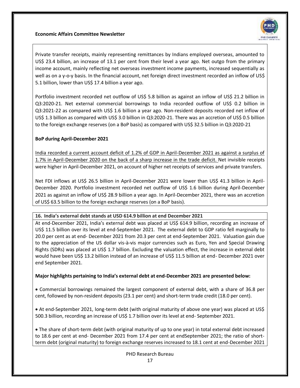

 Private transfer receipts, mainly representing remittances by Indians employed overseas, amounted to US\$ 23.4 billion, an increase of 13.1 per cent from their level a year ago. Net outgo from the primary income account, mainly reflecting net overseas investment income payments, increased sequentially as well as on a y-o-y basis. In the financial account, net foreign direct investment recorded an inflow of US\$ 5.1 billion, lower than US\$ 17.4 billion a year ago.

 Portfolio investment recorded net outflow of US\$ 5.8 billion as against an inflow of US\$ 21.2 billion in Q3:2020-21. Net external commercial borrowings to India recorded outflow of US\$ 0.2 billion in Q3:2021-22 as compared with US\$ 1.6 billion a year ago. Non-resident deposits recorded net inflow of US\$ 1.3 billion as compared with US\$ 3.0 billion in Q3:2020-21. There was an accretion of US\$ 0.5 billion to the foreign exchange reserves (on a BoP basis) as compared with US\$ 32.5 billion in Q3:2020-21

#### **BoP during April-December 2021**

 India recorded a current account deficit of 1.2% of GDP in April-December 2021 as against a surplus of 1.7% in April-December 2020 on the back of a sharp increase in the trade deficit. Net invisible receipts were higher in April-December 2021, on account of higher net receipts of services and private transfers.

 Net FDI inflows at US\$ 26.5 billion in April-December 2021 were lower than US\$ 41.3 billion in April-December 2020. Portfolio investment recorded net outflow of US\$ 1.6 billion during April-December 2021 as against an inflow of US\$ 28.9 billion a year ago. In April-December 2021, there was an accretion of US\$ 63.5 billion to the foreign exchange reserves (on a BoP basis).

**16. India's external debt stands at USD 614.9 billion at end December 2021**

At end-December 2021, India's external debt was placed at US\$ 614.9 billion, recording an increase of US\$ 11.5 billion over its level at end-September 2021. The external debt to GDP ratio fell marginally to 20.0 per cent as at end- December 2021 from 20.3 per cent at end-September 2021. Valuation gain due to the appreciation of the US dollar vis-à-vis major currencies such as Euro, Yen and Special Drawing Rights (SDRs) was placed at US\$ 1.7 billion. Excluding the valuation effect, the increase in external debt would have been US\$ 13.2 billion instead of an increase of US\$ 11.5 billion at end- December 2021 over end September 2021.

#### **Major highlights pertaining to India's external debt at end-December 2021 are presented below:**

 Commercial borrowings remained the largest component of external debt, with a share of 36.8 per cent, followed by non-resident deposits (23.1 per cent) and short-term trade credit (18.0 per cent).

 At end-September 2021, long-term debt (with original maturity of above one year) was placed at US\$ 500.3 billion, recording an increase of US\$ 1.7 billion over its level at end- September 2021.

 The share of short-term debt (with original maturity of up to one year) in total external debt increased to 18.6 per cent at end- December 2021 from 17.4 per cent at endSeptember 2021; the ratio of shortterm debt (original maturity) to foreign exchange reserves increased to 18.1 cent at end-December 2021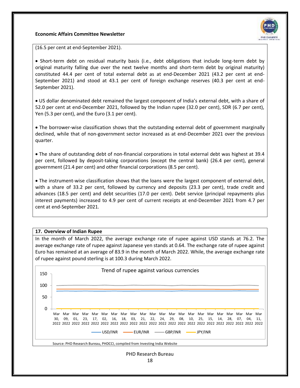

(16.5 per cent at end-September 2021).

 Short-term debt on residual maturity basis (i.e., debt obligations that include long-term debt by original maturity falling due over the next twelve months and short-term debt by original maturity) constituted 44.4 per cent of total external debt as at end-December 2021 (43.2 per cent at end-September 2021) and stood at 43.1 per cent of foreign exchange reserves (40.3 per cent at end-September 2021).

 US dollar denominated debt remained the largest component of India's external debt, with a share of 52.0 per cent at end-December 2021, followed by the Indian rupee (32.0 per cent), SDR (6.7 per cent), Yen (5.3 per cent), and the Euro (3.1 per cent).

 The borrower-wise classification shows that the outstanding external debt of government marginally declined, while that of non-government sector increased as at end-December 2021 over the previous quarter.

 The share of outstanding debt of non-financial corporations in total external debt was highest at 39.4 per cent, followed by deposit-taking corporations (except the central bank) (26.4 per cent), general government (21.4 per cent) and other financial corporations (8.5 per cent).

 The instrument-wise classification shows that the loans were the largest component of external debt, with a share of 33.2 per cent, followed by currency and deposits (23.3 per cent), trade credit and advances (18.5 per cent) and debt securities (17.0 per cent). Debt service (principal repayments plus interest payments) increased to 4.9 per cent of current receipts at end-December 2021 from 4.7 per cent at end-September 2021.

#### **17. Overview of Indian Rupee**

In the month of March 2022, the average exchange rate of rupee against USD stands at 76.2. The average exchange rate of rupee against Japanese yen stands at 0.64. The exchange rate of rupee against Euro has remained at an average of 83.9 in the month of March 2022. While, the average exchange rate of rupee against pound sterling is at 100.3 during March 2022.

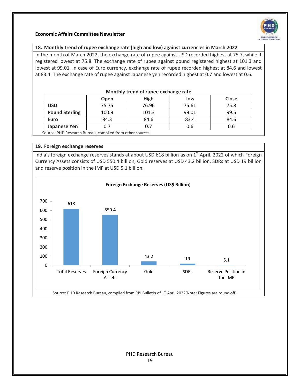

#### **18. Monthly trend of rupee exchange rate (high and low) against currencies in March 2022**

In the month of March 2022, the exchange rate of rupee against USD recorded highest at 75.7, while it registered lowest at 75.8. The exchange rate of rupee against pound registered highest at 101.3 and lowest at 99.01. In case of Euro currency, exchange rate of rupee recorded highest at 84.6 and lowest at 83.4. The exchange rate of rupee against Japanese yen recorded highest at 0.7 and lowest at 0.6.

|                                                           | Open  | <b>High</b> | Low   | <b>Close</b> |  |  |
|-----------------------------------------------------------|-------|-------------|-------|--------------|--|--|
| <b>USD</b>                                                | 75.75 | 76.96       | 75.61 | 75.8         |  |  |
| <b>Pound Sterling</b>                                     | 100.9 | 101.3       | 99.01 | 99.5         |  |  |
| Euro                                                      | 84.3  | 84.6        | 83.4  | 84.6         |  |  |
| Japanese Yen                                              | 0.7   | 0.7         | 0.6   | 0.6          |  |  |
| Source: PHD Research Bureau, compiled from other sources. |       |             |       |              |  |  |

#### **Monthly trend of rupee exchange rate**

#### **19. Foreign exchange reserves**

India's foreign exchange reserves stands at about USD 618 billion as on 1<sup>st</sup> April, 2022 of which Foreign Currency Assets consists of USD 550.4 billion, Gold reserves at USD 43.2 billion, SDRs at USD 19 billion and reserve position in the IMF at USD 5.1 billion.

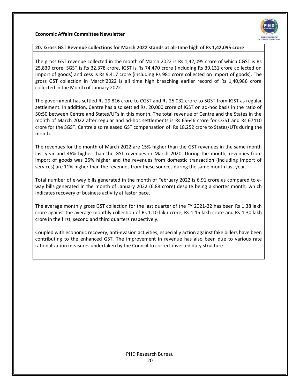

#### **20. Gross GST Revenue collections for March 2022 stands at all-time high of Rs 1,42,095 crore**

The gross GST revenue collected in the month of March 2022 is Rs 1,42,095 crore of which CGST is Rs 25,830 crore, SGST is Rs 32,378 crore, IGST is Rs 74,470 crore (including Rs 39,131 crore collected on import of goods) and cess is Rs 9,417 crore (including Rs 981 crore collected on import of goods). The gross GST collection in March'2022 is all time high breaching earlier record of Rs 1,40,986 crore collected in the Month of January 2022.

The government has settled Rs 29,816 crore to CGST and Rs 25,032 crore to SGST from IGST as regular settlement. In addition, Centre has also settled Rs. 20,000 crore of IGST on ad-hoc basis in the ratio of 50:50 between Centre and States/UTs in this month. The total revenue of Centre and the States in the month of March 2022 after regular and ad-hoc settlements is Rs 65646 crore for CGST and Rs 67410 crore for the SGST. Centre also released GST compensation of Rs 18,252 crore to States/UTs during the month.

The revenues for the month of March 2022 are 15% higher than the GST revenues in the same month last year and 46% higher than the GST revenues in March 2020. During the month, revenues from import of goods was 25% higher and the revenues from domestic transaction (including import of services) are 11% higher than the revenues from these sources during the same month last year.

Total number of e-way bills generated in the month of February 2022 is 6.91 crore as compared to eway bills generated in the month of January 2022 (6.88 crore) despite being a shorter month, which indicates recovery of business activity at faster pace.

The average monthly gross GST collection for the last quarter of the FY 2021-22 has been Rs 1.38 lakh crore against the average monthly collection of Rs 1.10 lakh crore, Rs 1.15 lakh crore and Rs 1.30 lakh crore in the first, second and third quarters respectively.

Coupled with economic recovery, anti-evasion activities, especially action against fake billers have been contributing to the enhanced GST. The improvement in revenue has also been due to various rate rationalization measures undertaken by the Council to correct inverted duty structure.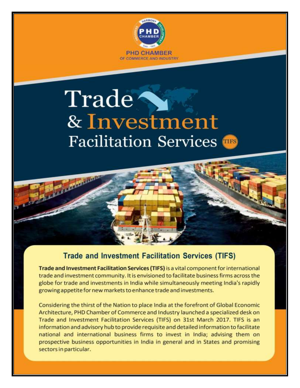

# Trade & Investment **Facilitation Services**

**Property Management** 

# **Trade and Investment Facilitation Services (TIFS)**

Trade and Investment Facilitation Services (TIFS) is a vital component for international trade and investment community. It is envisioned to facilitate business firms across the globe for trade and investments in India while simultaneously meeting India's rapidly growing appetite for new markets to enhance trade and investments.

Considering the thirst of the Nation to place India at the forefront of Global Economic Architecture, PHD Chamber of Commerce and Industry launched a specialized desk on Trade and Investment Facilitation Services (TIFS) on 31st March 2017. TIFS is an information and advisory hub to provide requisite and detailed information to facilitate national and international business firms to invest in India; advising them on prospective business opportunities in India in general and in States and promising sectors in particular.

21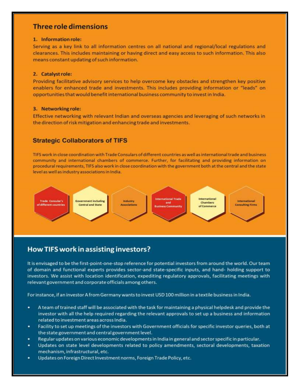### **Three role dimensions**

Serving as a key link to all information centres on all national and regional/local regulations and clearances. This includes maintaining or having direct and easy access to such information. This also means constant updating of such information.

#### 2. Catalyst role:

Providing facilitative advisory services to help overcome key obstacles and strengthen key positive enablers for enhanced trade and investments. This includes providing information or "leads" on opportunities that would benefit international business community to invest in India.

#### 3. Networking role:

Effective networking with relevant Indian and overseas agencies and leveraging of such networks in the direction of risk mitigation and enhancing trade and investments.

#### **Strategic Collaborators of TIFS**

TIFS work in close coordination with Trade Consulars of different countries as well as international trade and business community and international chambers of commerce. Further, for facilitating and providing information on procedural requirements, TIFS also work in close coordination with the government both at the central and the state level as well as industry associations in India.



# How TIFS work in assisting investors?

It is envisaged to be the first-point-one-stop reference for potential investors from around the world. Our team of domain and functional experts provides sector-and state-specific inputs, and hand- holding support to investors. We assist with location identification, expediting regulatory approvals, facilitating meetings with relevant government and corporate officials among others.

For instance, if an investor A from Germany wants to invest USD 100 million in a textile business in India.

- A team of trained staff will be associated with the task for maintaining a physical helpdesk and provide the investor with all the help required regarding the relevant approvals to set up a business and information related to investment areas across India.
- ٠ Facility to set up meetings of the investors with Government officials for specific investor queries, both at the state government and central government level.
- Regular updates on various economic developments in India in general and sector specific in particular. ٠
- Updates on state level developments related to policy amendments, sectoral developments, taxation ٠ mechanism, infrastructural, etc. PHD Research Bureau
- $^{\circ}$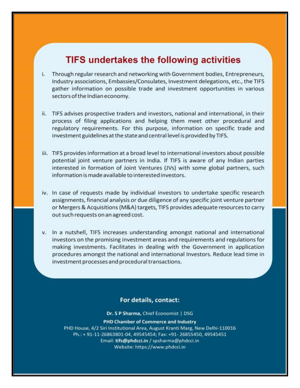# **TIFS undertakes the following activities**

- Through regular research and networking with Government bodies, Entrepreneurs, i. Industry associations, Embassies/Consulates, Investment delegations, etc., the TIFS gather information on possible trade and investment opportunities in various sectors of the Indian economy.
- ii. TIFS advises prospective traders and investors, national and international, in their process of filing applications and helping them meet other procedural and regulatory requirements. For this purpose, information on specific trade and investment guidelines at the state and central level is provided by TIFS.
- iii. TIFS provides information at a broad level to international investors about possible potential joint venture partners in India. If TIFS is aware of any Indian parties interested in formation of Joint Ventures (JVs) with some global partners, such information is made available to interested investors.
- iv. In case of requests made by individual investors to undertake specific research assignments, financial analysis or due diligence of any specific joint venture partner or Mergers & Acquisitions (M&A) targets, TIFS provides adequate resources to carry out such requests on an agreed cost.
- v. In a nutshell, TIFS increases understanding amongst national and international investors on the promising investment areas and requirements and regulations for making investments. Facilitates in dealing with the Government in application procedures amongst the national and international Investors. Reduce lead time in investment processes and procedural transactions.

#### For details, contact:

Dr. S P Sharma, Chief Economist | DSG

**PHD Chamber of Commerce and Industry** PHD House, 4/2 Siri Institutional Area, August Kranti Marg, New Delhi-110016 Ph.: + 91-11-26863801-04, 49545454; Fax: +91-26855450, 49545451 Email: tifs@phdcci.in / spsharma@phdcci.in Website: https://www.phdcci.in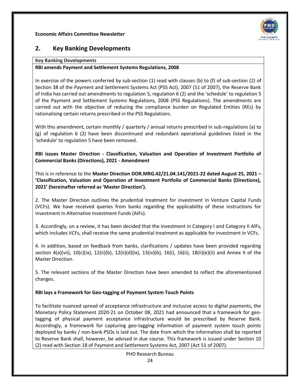

# **2. Key Banking Developments**

#### **Key Banking Developments**

#### **RBI amends Payment and Settlement Systems Regulations, 2008**

In exercise of the powers conferred by sub-section (1) read with clauses (b) to (f) of sub-section (2) of Section 38 of the Payment and Settlement Systems Act (PSS Act), 2007 (51 of 2007), the Reserve Bank of India has carried out amendments to regulation 5, regulation 6 (2) and the 'schedule' to regulation 5 of the Payment and Settlement Systems Regulations, 2008 (PSS Regulations). The amendments are carried out with the objective of reducing the compliance burden on Regulated Entities (REs) by rationalising certain returns prescribed in the PSS Regulations.

With this amendment, certain monthly / quarterly / annual returns prescribed in sub-regulations (a) to (g) of regulation 6 (2) have been discontinued and redundant operational guidelines listed in the 'schedule' to regulation 5 have been removed.

**RBI issues Master Direction - Classification, Valuation and Operation of Investment Portfolio of Commercial Banks (Directions), 2021 - Amendment**

This is in reference to the **Master Direction DOR.MRG.42/21.04.141/2021-22 dated August 25, 2021 – 'Classification, Valuation and Operation of Investment Portfolio of Commercial Banks (Directions), 2021' (hereinafter referred as 'Master Direction').**

2. The Master Direction outlines the prudential treatment for investment in Venture Capital Funds (VCFs). We have received queries from banks regarding the applicability of these instructions for investment in Alternative Investment Funds (AIFs).

3. Accordingly, on a review, it has been decided that the investment in Category I and Category II AlFs, which includes VCFs, shall receive the same prudential treatment as applicable for investment in VCFs.

4. In addition, based on feedback from banks, clarifications / updates have been provided regarding section 4(a)(vii), 10(c)(ix), 12(ii)(b), 12(ii)(d)(ix), 13(iv)(b), 16(i), 16(ii), 18(ii)(e)(ii) and Annex II of the Master Direction.

5. The relevant sections of the Master Direction have been amended to reflect the aforementioned changes.

#### **RBI lays a Framework for Geo-tagging of Payment System Touch Points**

To facilitate nuanced spread of acceptance infrastructure and inclusive access to digital payments, the Monetary Policy Statement 2020-21 on October 08, 2021 had announced that a framework for geotagging of physical payment acceptance infrastructure would be prescribed by Reserve Bank. Accordingly, a framework for capturing geo-tagging information of payment system touch points deployed by banks / non-bank PSOs is laid out. The date from which the information shall be reported to Reserve Bank shall, however, be advised in due course. This framework is issued under Section 10 (2) read with Section 18 of Payment and Settlement Systems Act, 2007 (Act 51 of 2007).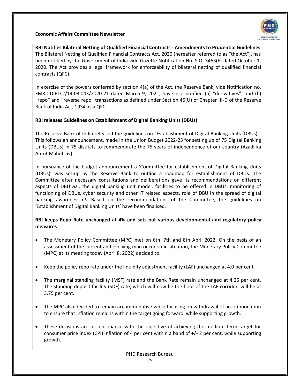

**RBI Notifies Bilateral Netting of Qualified Financial Contracts - Amendments to Prudential Guidelines** The Bilateral Netting of Qualified Financial Contracts Act, 2020 (hereafter referred to as "the Act"), has been notified by the Government of India vide Gazette Notification No. S.O. 3463(E) dated October 1, 2020. The Act provides a legal framework for enforceability of bilateral netting of qualified financial contracts (QFC).

In exercise of the powers conferred by section 4(a) of the Act, the Reserve Bank, vide Notification no. FMRD.DIRD.2/14.03.043/2020-21 dated March 9, 2021, has since notified (a) "derivatives"; and (b) "repo" and "reverse repo" transactions as defined under Section 45(U) of Chapter III-D of the Reserve Bank of India Act, 1934 as a QFC.

#### **RBI releases Guidelines on Establishment of Digital Banking Units (DBUs)**

The Reserve Bank of India released the guidelines on "Establishment of Digital Banking Units (DBUs)". This follows an announcement, made in the Union Budget 2022-23 for setting up of 75 Digital Banking Units (DBUs) in 75 districts to commemorate the 75 years of independence of our country (Azadi ka Amrit Mahotsav).

In pursuance of the budget announcement a 'Committee for establishment of Digital Banking Units (DBUs)' was set-up by the Reserve Bank to outline a roadmap for establishment of DBUs. The Committee after necessary consultations and deliberations gave its recommendations on different aspects of DBU *viz*., the digital banking unit model, facilities to be offered in DBUs, monitoring of functioning of DBUs, cyber security and other IT related aspects, role of DBU in the spread of digital banking awareness, *etc.* Based on the recommendations of the Committee, the guidelines on 'Establishment of Digital Banking Units' have been finalised.

#### **RBI keeps Repo Rate unchanged at 4% and sets out various developmental and regulatory policy measures**

- The Monetary Policy Committee (MPC) met on 6th, 7th and 8th April 2022. On the basis of an assessment of the current and evolving macroeconomic situation, the Monetary Policy Committee (MPC) at its meeting today (April 8, 2022) decided to:
- Keep the policy repo rate under the liquidity adjustment facility (LAF) unchanged at 4.0 per cent.
- The marginal standing facility (MSF) rate and the Bank Rate remain unchanged at 4.25 per cent. The standing deposit facility (SDF) rate, which will now be the floor of the LAF corridor, will be at 3.75 per cent.
- The MPC also decided to remain accommodative while focusing on withdrawal of accommodation to ensure that inflation remains within the target going forward, while supporting growth.
- These decisions are in consonance with the objective of achieving the medium term target for consumer price index (CPI) inflation of 4 per cent within a band of +/- 2 per cent, while supporting growth.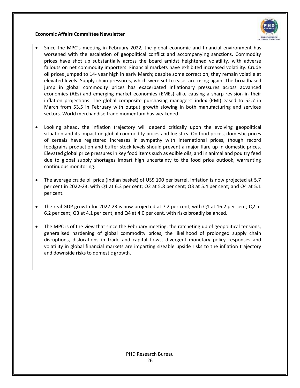

- Since the MPC's meeting in February 2022, the global economic and financial environment has worsened with the escalation of geopolitical conflict and accompanying sanctions. Commodity prices have shot up substantially across the board amidst heightened volatility, with adverse fallouts on net commodity importers. Financial markets have exhibited increased volatility. Crude oil prices jumped to 14- year high in early March; despite some correction, they remain volatile at elevated levels. Supply chain pressures, which were set to ease, are rising again. The broadbased jump in global commodity prices has exacerbated inflationary pressures across advanced economies (AEs) and emerging market economies (EMEs) alike causing a sharp revision in their inflation projections. The global composite purchasing managers' index (PMI) eased to 52.7 in March from 53.5 in February with output growth slowing in both manufacturing and services sectors. World merchandise trade momentum has weakened.
- Looking ahead, the inflation trajectory will depend critically upon the evolving geopolitical situation and its impact on global commodity prices and logistics. On food prices, domestic prices of cereals have registered increases in sympathy with international prices, though record foodgrains production and buffer stock levels should prevent a major flare up in domestic prices. Elevated global price pressures in key food items such as edible oils, and in animal and poultry feed due to global supply shortages impart high uncertainty to the food price outlook, warranting continuous monitoring.
- The average crude oil price (Indian basket) of US\$ 100 per barrel, inflation is now projected at 5.7 per cent in 2022-23, with Q1 at 6.3 per cent; Q2 at 5.8 per cent; Q3 at 5.4 per cent; and Q4 at 5.1 per cent.
- The real GDP growth for 2022-23 is now projected at 7.2 per cent, with Q1 at 16.2 per cent; Q2 at 6.2 per cent; Q3 at 4.1 per cent; and Q4 at 4.0 per cent, with risks broadly balanced.
- The MPC is of the view that since the February meeting, the ratcheting up of geopolitical tensions, generalised hardening of global commodity prices, the likelihood of prolonged supply chain disruptions, dislocations in trade and capital flows, divergent monetary policy responses and volatility in global financial markets are imparting sizeable upside risks to the inflation trajectory and downside risks to domestic growth.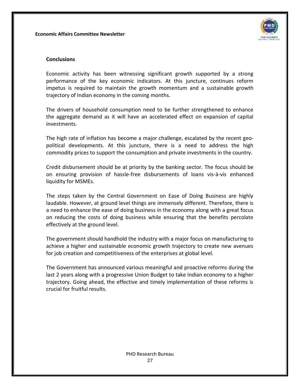

#### **Conclusions**

Economic activity has been witnessing significant growth supported by a strong performance of the key economic indicators. At this juncture, continues reform impetus is required to maintain the growth momentum and a sustainable growth trajectory of Indian economy in the coming months.

The drivers of household consumption need to be further strengthened to enhance the aggregate demand as it will have an accelerated effect on expansion of capital investments.

The high rate of inflation has become a major challenge, escalated by the recent geopolitical developments. At this juncture, there is a need to address the high commodity prices to support the consumption and private investments in the country.

Credit disbursement should be at priority by the banking sector. The focus should be on ensuring provision of hassle-free disbursements of loans vis-à-vis enhanced liquidity for MSMEs.

The steps taken by the Central Government on Ease of Doing Business are highly laudable. However, at ground level things are immensely different. Therefore, there is a need to enhance the ease of doing business in the economy along with a great focus on reducing the costs of doing business while ensuring that the benefits percolate effectively at the ground level.

The government should handhold the industry with a major focus on manufacturing to achieve a higher and sustainable economic growth trajectory to create new avenues for job creation and competitiveness of the enterprises at global level.

The Government has announced various meaningful and proactive reforms during the last 2 years along with a progressive Union Budget to take Indian economy to a higher trajectory. Going ahead, the effective and timely implementation of these reforms is crucial for fruitful results.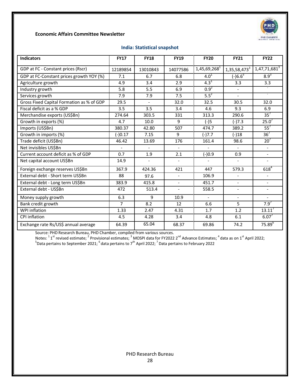

#### **India: Statistical snapshot**

| <b>Indicators</b>                         | <b>FY17</b>    | <b>FY18</b>              | <b>FY19</b>              | <b>FY20</b>              | <b>FY21</b>              | <b>FY22</b>              |
|-------------------------------------------|----------------|--------------------------|--------------------------|--------------------------|--------------------------|--------------------------|
| GDP at FC - Constant prices (Rscr)        | 12189854       | 13010843                 | 14077586                 | 1,45,69,268 <sup>1</sup> | 1,35,58,473 <sup>3</sup> | $1,47,71,681^3$          |
| GDP at FC-Constant prices growth YOY (%)  | 7.1            | 6.7                      | 6.8                      | $4.0^1$                  | $\sqrt{-16.6^3}$         | $8.9^{3}$                |
| Agriculture growth                        | 4.9            | 3.4                      | 2.9                      | $4.3^{1}$                | 3.3                      | 3.3                      |
| Industry growth                           | 5.8            | 5.5                      | 6.9                      | $0.9^{2}$                | $\overline{\phantom{a}}$ |                          |
| Services growth                           | 7.9            | 7.9                      | 7.5                      | $5.5^{2}$                |                          |                          |
| Gross Fixed Capital Formation as % of GDP | 29.5           | $\overline{a}$           | 32.0                     | 32.5                     | 30.5                     | 32.0                     |
| Fiscal deficit as a % GDP                 | 3.5            | 3.5                      | 3.4                      | 4.6                      | 9.3                      | 6.9                      |
| Merchandise exports (US\$Bn)              | 274.64         | 303.5                    | 331                      | 313.3                    | 290.6                    | 35 <sup>7</sup>          |
| Growth in exports (%)                     | 4.7            | 10.0                     | 9                        | $(-)5$                   | $(-)7.3$                 | $25.0^7$                 |
| Imports (US\$Bn)                          | 380.37         | 42.80                    | 507                      | 474.7                    | 389.2                    | $55^7$                   |
| Growth in imports (%)                     | $(-)0.17$      | 7.15                     | 9                        | $(-)7.7$                 | $(-)18$                  | 36 <sup>7</sup>          |
| Trade deficit (US\$Bn)                    | 46.42          | 13.69                    | 176                      | 161.4                    | 98.6                     | 20 <sup>7</sup>          |
| Net invisibles US\$Bn                     | $\overline{a}$ |                          | $\overline{a}$           |                          |                          | $\overline{a}$           |
| Current account deficit as % of GDP       | 0.7            | 1.9                      | 2.1                      | $(-)0.9$                 | 0.9                      | $\blacksquare$           |
| Net capital account US\$Bn                | 14.9           | $\overline{\phantom{a}}$ | $\overline{\phantom{a}}$ |                          | $\overline{\phantom{a}}$ |                          |
| Foreign exchange reserves US\$Bn          | 367.9          | 424.36                   | 421                      | 447                      | 579.3                    | $618^{4}$                |
| External debt - Short term US\$Bn         | 88             | 97.6                     | $\overline{a}$           | 106.9                    |                          | $\blacksquare$           |
| External debt - Long term US\$Bn          | 383.9          | 415.8                    | $\overline{a}$           | 451.7                    | $\overline{a}$           |                          |
| External debt - US\$Bn                    | 472            | 513.4                    | $\overline{\phantom{a}}$ | 558.5                    | $\overline{\phantom{a}}$ | $\overline{\phantom{a}}$ |
| Money supply growth                       | 6.3            | 9                        | 10.9                     |                          | $\blacksquare$           |                          |
| Bank credit growth                        | $\overline{7}$ | 8.2                      | 12                       | 6.6                      | 5.                       | $7.9^{7}$                |
| <b>WPI</b> inflation                      | 1.33           | 2.47                     | 4.31                     | 1.7                      | 1.2                      | $13.11^7$                |
| CPI inflation                             | 4.5            | 4.28                     | 3.4                      | 4.8                      | 6.1                      | $6.07^{7}$               |
| Exchange rate Rs/US\$ annual average      | 64.39          | 65.04                    | 68.37                    | 69.86                    | 74.2                     | $75.89^{6}$              |

Source: PHD Research Bureau, PHD Chamber, compiled from various sources.

Notes: <sup>1</sup> 1<sup>st</sup> revised estimate; <sup>2</sup> Provisional estimates; <sup>3</sup> MOSPI data for FY2022 2<sup>nd</sup> Advance Estimates; <sup>4</sup> data as on 1<sup>st</sup> April 2022;<br><sup>5</sup>Data pertains to September 2021; <sup>6</sup> data pertains to 7<sup>th</sup> April 2022; <sup></sup>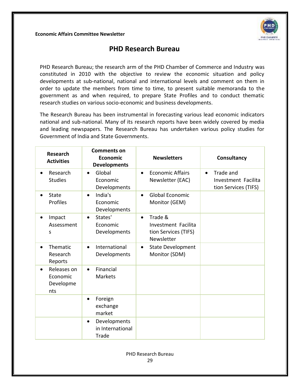

# **PHD Research Bureau**

PHD Research Bureau; the research arm of the PHD Chamber of Commerce and Industry was constituted in 2010 with the objective to review the economic situation and policy developments at sub-national, national and international levels and comment on them in order to update the members from time to time, to present suitable memoranda to the government as and when required, to prepare State Profiles and to conduct thematic research studies on various socio-economic and business developments.

The Research Bureau has been instrumental in forecasting various lead economic indicators national and sub-national. Many of its research reports have been widely covered by media and leading newspapers. The Research Bureau has undertaken various policy studies for Government of India and State Governments.

| <b>Research</b><br><b>Activities</b>                     | <b>Comments on</b><br>Economic<br><b>Developments</b>  | <b>Newsletters</b>                                                                | Consultancy                                                           |
|----------------------------------------------------------|--------------------------------------------------------|-----------------------------------------------------------------------------------|-----------------------------------------------------------------------|
| Research<br>$\bullet$<br><b>Studies</b>                  | Global<br>$\bullet$<br>Economic<br>Developments        | <b>Economic Affairs</b><br>$\bullet$<br>Newsletter (EAC)                          | Trade and<br>$\bullet$<br>Investment Facilita<br>tion Services (TIFS) |
| State<br>$\bullet$<br>Profiles                           | India's<br>$\bullet$<br>Economic<br>Developments       | <b>Global Economic</b><br>$\bullet$<br>Monitor (GEM)                              |                                                                       |
| Impact<br>$\bullet$<br>Assessment<br>S                   | States'<br>$\bullet$<br>Economic<br>Developments       | Trade &<br>$\bullet$<br>Investment Facilita<br>tion Services (TIFS)<br>Newsletter |                                                                       |
| Thematic<br>$\bullet$<br>Research<br>Reports             | International<br>$\bullet$<br>Developments             | <b>State Development</b><br>$\bullet$<br>Monitor (SDM)                            |                                                                       |
| Releases on<br>$\bullet$<br>Economic<br>Developme<br>nts | Financial<br>$\bullet$<br><b>Markets</b>               |                                                                                   |                                                                       |
|                                                          | Foreign<br>$\bullet$<br>exchange<br>market             |                                                                                   |                                                                       |
|                                                          | Developments<br>$\bullet$<br>in International<br>Trade |                                                                                   |                                                                       |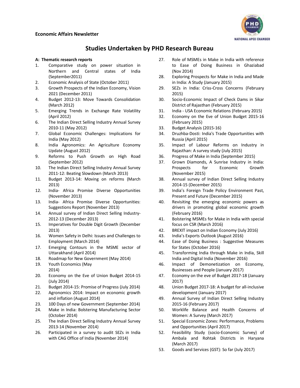

### **Studies Undertaken by PHD Research Bureau**

#### **A: Thematic research reports**

- 1. Comparative study on power situation in Northern and Central states of India (September2011)
- 2. Economic Analysis of State (October 2011)
- 3. Growth Prospects of the Indian Economy, Vision 2021 (December 2011)
- 4. Budget 2012-13: Move Towards Consolidation (March 2012)
- 5. Emerging Trends in Exchange Rate Volatility (April 2012)
- 6. The Indian Direct Selling Industry Annual Survey 2010-11 (May 2012)
- 7. Global Economic Challenges: Implications for India (May 2012)
- 8. India Agronomics: An Agriculture Economy Update (August 2012)
- 9. Reforms to Push Growth on High Road (September 2012)
- 10. The Indian Direct Selling Industry Annual Survey 2011-12: Beating Slowdown (March 2013)
- 11. Budget 2013-14: Moving on reforms (March 2013)
- 12. India- Africa Promise Diverse Opportunities (November 2013)
- 13. India- Africa Promise Diverse Opportunities: Suggestions Report (November 2013)
- 14. Annual survey of Indian Direct Selling Industry-2012-13 (December 2013)
- 15. Imperatives for Double Digit Growth (December 2013)
- 16. Women Safety in Delhi: Issues and Challenges to Employment (March 2014)
- 17. Emerging Contours in the MSME sector of Uttarakhand (April 2014)
- 18. Roadmap for New Government (May 2014)
- 19. Youth Economics (May 2014)
- 20. Economy on the Eve of Union Budget 2014-15 (July 2014)
- 21. Budget 2014-15: Promise of Progress (July 2014)
- 22. Agronomics 2014: Impact on economic growth and inflation (August 2014)
- 23. 100 Days of new Government (September 2014)
- 24. Make in India: Bolstering Manufacturing Sector (October 2014)
- 25. The Indian Direct Selling Industry Annual Survey 2013-14 (November 2014)
- 26. Participated in a survey to audit SEZs in India with CAG Office of India (November 2014)
- 27. Role of MSMEs in Make in India with reference to Ease of Doing Business in Ghaziabad (Nov 2014)
- 28. Exploring Prospects for Make in India and Made in India: A Study (January 2015)
- 29. SEZs in India: Criss-Cross Concerns (February 2015)
- 30. Socio-Economic Impact of Check Dams in Sikar District of Rajasthan (February 2015)
- 31. India USA Economic Relations (February 2015)
- 32. Economy on the Eve of Union Budget 2015-16 (February 2015)
- 33. Budget Analysis (2015-16)
- 34. Druzhba-Dosti: India's Trade Opportunities with Russia (April 2015)
- 35. Impact of Labour Reforms on Industry in Rajasthan: A survey study (July 2015)
- 36. Progress of Make in India (September 2015)
- 37. Grown Diamonds, A Sunrise Industry in India: Prospects for Economic Growth (November 2015)
- 38. Annual survey of Indian Direct Selling Industry 2014-15 (December 2015)
- 39. India's Foreign Trade Policy Environment Past, Present and Future (December 2015)
- 40. Revisiting the emerging economic powers as drivers in promoting global economic growth (February 2016)
- 41. Bolstering MSMEs for Make in India with special focus on CSR (March 2016)
- 42. BREXIT impact on Indian Economy (July 2016)
- 43. India's Exports Outlook (August 2016)
- 44. Ease of Doing Business : Suggestive Measures for States (October 2016)
- 45. Transforming India through Make in India, Skill India and Digital India (November 2016)
- 46. Impact of Demonetization on Economy, Businesses and People (January 2017)
- 47. Economy on the eve of Budget 2017-18 (January 2017)
- 48. Union Budget 2017-18: A budget for all-inclusive development (January 2017)
- 49. Annual Survey of Indian Direct Selling Industry 2015-16 (February 2017)
- 50. Worklife Balance and Health Concerns of Women: A Survey (March 2017)
- 51. Special Economic Zones: Performance, Problems and Opportunities (April 2017)
- 52. Feasibility Study (socio-Economic Survey) of Ambala and Rohtak Districts in Haryana (March 2017)
- 53. Goods and Services (GST): So far (July 2017)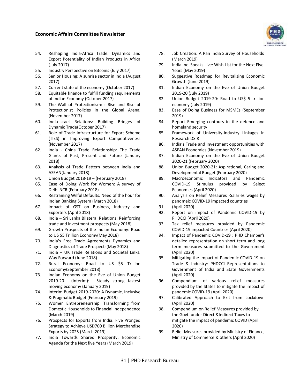

- 54. Reshaping India-Africa Trade: Dynamics and Export Potentiality of Indian Products in Africa (July 2017)
- 55. Industry Perspective on Bitcoins (July 2017)
- 56. Senior Housing: A sunrise sector in India (August 2017)
- 57. Current state of the economy (October 2017)
- 58. Equitable finance to fulfill funding requirements of Indian Economy (October 2017)
- 59. The Wall of Protectionism: : Rise and Rise of Protectionist Policies in the Global Arena, (November 2017)
- 60. India-Israel Relations: Building Bridges of Dynamic Trade(October 2017)
- 61. Role of Trade Infrastructure for Export Scheme (TIES) in Improving Export Competitiveness (November 2017)
- 62. India China Trade Relationship: The Trade Giants of Past, Present and Future (January 2018)
- 63. Analysis of Trade Pattern between India and ASEAN(January 2018)
- 64. Union Budget 2018-19 (February 2018)
- 65. Ease of Doing Work for Women: A survey of Delhi NCR (February 2018)
- 66. Restraining Wilful Defaults: Need of the hour for Indian Banking System (March 2018)
- 67. Impact of GST on Business, Industry and Exporters (April 2018)
- 68. India Sri Lanka Bilateral Relations: Reinforcing trade and investment prospects (May 2018)
- 69. Growth Prospects of the Indian Economy: Road to US \$5 Trillion Economy(May 2018)
- 70. India's Free Trade Agreements Dynamics and Diagnostics of Trade Prospects(May 2018)
- 71. India UK Trade Relations and Societal Links: Way Forward (June 2018)
- 72. Rural Economy: Road to US \$5 Trillion Economy(September 2018)
- 73. Indian Economy on the Eve of Union Budget 2019-20 (Interim): Steady…strong…fastest moving economy (January 2019)
- 74. Interim Budget 2019-2020: A Dynamic, Inclusive & Pragmatic Budget (February 2019)
- 75. Women Entrepreneurship: Transforming from Domestic Households to Financial Independence (March 2019)
- 76. Prospects for Exports from India: Five Pronged Strategy to Achieve USD700 Billion Merchandise Exports by 2025 (March 2019)
- 77. India Towards Shared Prosperity: Economic Agenda for the Next five Years (March 2019)
- 78. Job Creation: A Pan India Survey of Households (March 2019)
- 79. India Inc. Speaks Live: Wish List for the Next Five Years (May 2019)
- 80. Suggestive Roadmap for Revitalizing Economic Growth (June 2019)
- 81. Indian Economy on the Eve of Union Budget 2019-20 (July 2019)
- 82. Union Budget 2019-20: Road to US\$ 5 trillion economy (July 2019)
- 83. Ease of Doing Business for MSMEs (September 2019)
- 84. Report Emerging contours in the defence and homeland security
- 85. Framework of University-Industry Linkages in Research DSIR
- 86. India's Trade and Investment opportunities with ASEAN Economies (November 2019)
- 87. Indian Economy on the Eve of Union Budget 2020-21 (February 2020)
- 88. Union Budget 2020-21: Aspirational, Caring and Developmental Budget (February 2020)
- 89. Macroeconomic Indicators and Pandemic COVID-19 Stimulus provided by Select Economies (April 2020)
- 90. Analysis on Relief Mesaures -Salaries wages by pandmeic COVID-19 impacted countries
- 91. (April 2020)
- 92. Report on impact of Pandemic COVID-19 by PHDCCI (April 2020)
- 93. Tax relief measures provided by Pandemic COVID-19 impacted Countries (April 2020)
- 94. Impact of Pandemic COVID-19 : PHD Chamber's detailed representation on short term and long term measures submitted to the Government (April 2020)
- 95. Mitigating the Impact of Pandemic COVID-19 on Trade & Industry: PHDCCI Representations to Government of India and State Governments (April 2020)
- 96. Compendium of various relief measures provided by the States to mitigate the impact of pandemic COVID-19 (April 2020)
- 97. Calibrated Approach to Exit from Lockdown (April 2020)
- 98. Compendium on Relief Measures provided by the Govt. under Direct &Indirect Taxes to mitigate the impact of pandemic COVID (April 2020)
- 99. Relief Measures provided by Ministry of Finance, Ministry of Commerce & others (April 2020)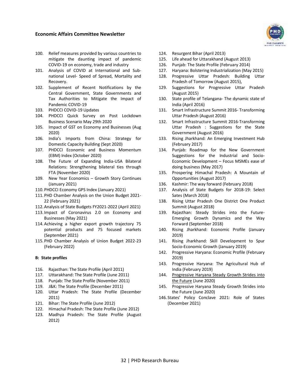- 100. Relief measures provided by various countries to mitigate the daunting impact of pandemic COVID-19 on economy, trade and industry
- 101. Analysis of COVID at International and Subnational Level- Speed of Spread, Mortality and Recovery.
- 102. Supplement of Recent Notifications by the Central Government, State Governments and Tax Authorities to Mitigate the Impact of Pandemic COVID-19
- 103. PHDCCI COVID-19 Updates
- 104. PHDCCI Quick Survey on Post Lockdown Business Scenario May 29th 2020
- 105. Impact of GST on Economy and Businesses (Aug 2020)
- 106. India's Imports from China: Strategy for Domestic Capacity Building (Sept 2020)
- 107. PHDCCI Economic and Business Momentum (EBM) Index (October 2020)
- 108. The Future of Expanding India-USA Bilateral Relations: Strengthening bilateral ties through FTA (November 2020)
- 109. New Year Economics Growth Story Continues (January 2021)
- 110.PHDCCI Economy GPS Index (January 2021)
- 111.PHD Chamber Analysis on the Union Budget 2021- 22 (February 2021)
- 112.Analysis of State Budgets FY2021-2022 (April 2021)
- 113.Impact of Coronavirus 2.0 on Economy and Businesses (May 2021)
- 114.Achieving a higher export growth trajectory 75 potential products and 75 focused markets (September 2021)
- 115.PHD Chamber Analysis of Union Budget 2022-23 (February 2022)

#### **B: State profiles**

- 116. Rajasthan: The State Profile (April 2011)
- 117. Uttarakhand: The State Profile (June 2011)
- 118. Punjab: The State Profile (November 2011)
- 119. J&K: The State Profile (December 2011)
- 120. Uttar Pradesh: The State Profile (December 2011)
- 121. Bihar: The State Profile (June 2012)
- 122. Himachal Pradesh: The State Profile (June 2012)
- 123. Madhya Pradesh: The State Profile (August 2012)
- 124. Resurgent Bihar (April 2013)
- 125. Life ahead for Uttarakhand (August 2013)
- 126. Punjab: The State Profile (February 2014)
- 127. Haryana: Bolstering Industrialization (May 2015)
- 128. Progressive Uttar Pradesh: Building Uttar Pradesh of Tomorrow (August 2015),
- 129. Suggestions for Progressive Uttar Pradesh (August 2015)
- 130. State profile of Telangana- The dynamic state of India (April 2016)
- 131. Smart Infrastructure Summit 2016- Transforming Uttar Pradesh (August 2016)
- 132. Smart Infrastructure Summit 2016-Transforming Uttar Pradesh : Suggestions for the State Government (August 2016)
- 133. Rising Jharkhand: An Emerging Investment Hub (February 2017)
- 134. Punjab: Roadmap for the New Government Suggestions for the Industrial and Socio-Economic Development – Focus MSMEs ease of doing business (May 2017)
- 135. Prospering Himachal Pradesh: A Mountain of Opportunities (August 2017)
- 136. Kashmir: The way forward (February 2018)
- 137. Analysis of State Budgets for 2018-19: Select Sates (March 2018)
- 138. Rising Uttar Pradesh One District One Product Summit (August 2018)
- 139. Rajasthan: Steady Strides into the Future-Emerging Growth Dynamics and the Way Forward (September 2018)
- 140. Rising Jharkhand: Economic Profile (January 2019)
- 141. Rising Jharkhand: Skill Development to Spur Socio-Economic Growth (January 2019)
- 142. Progressive Haryana: Economic Profile (February 2019)
- 143. Progressive Haryana: The Agricultural Hub of India (February 2019)
- 144. Progressive Haryana Steady Growth Strides into [the Future](https://www.phdcci.in/wp-content/uploads/2020/06/Progressive-Haryana-Steady-Growth-Strides-into-the-Future-1.pdf) (June 2020)
- 145. Progressive Haryana Steady Growth Strides into the Future (June 2020)
- 146. States' Policy Conclave 2021: Role of States (December 2021)